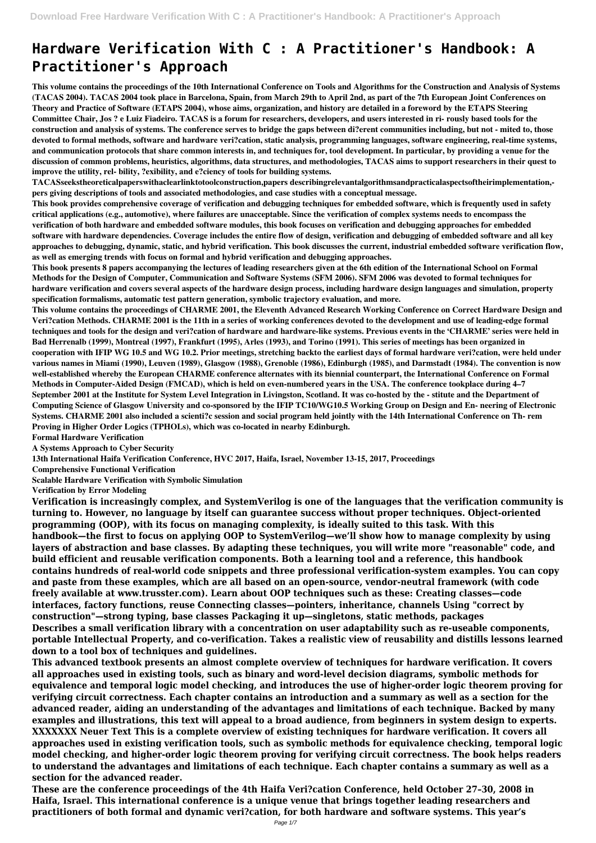# **Hardware Verification With C : A Practitioner's Handbook: A Practitioner's Approach**

**This volume contains the proceedings of the 10th International Conference on Tools and Algorithms for the Construction and Analysis of Systems (TACAS 2004). TACAS 2004 took place in Barcelona, Spain, from March 29th to April 2nd, as part of the 7th European Joint Conferences on Theory and Practice of Software (ETAPS 2004), whose aims, organization, and history are detailed in a foreword by the ETAPS Steering Committee Chair, Jos ? e Luiz Fiadeiro. TACAS is a forum for researchers, developers, and users interested in ri- rously based tools for the construction and analysis of systems. The conference serves to bridge the gaps between di?erent communities including, but not - mited to, those devoted to formal methods, software and hardware veri?cation, static analysis, programming languages, software engineering, real-time systems, and communication protocols that share common interests in, and techniques for, tool development. In particular, by providing a venue for the discussion of common problems, heuristics, algorithms, data structures, and methodologies, TACAS aims to support researchers in their quest to improve the utility, rel- bility, ?exibility, and e?ciency of tools for building systems.**

**TACASseekstheoreticalpaperswithaclearlinktotoolconstruction,papers describingrelevantalgorithmsandpracticalaspectsoftheirimplementation, pers giving descriptions of tools and associated methodologies, and case studies with a conceptual message.**

**This book provides comprehensive coverage of verification and debugging techniques for embedded software, which is frequently used in safety critical applications (e.g., automotive), where failures are unacceptable. Since the verification of complex systems needs to encompass the verification of both hardware and embedded software modules, this book focuses on verification and debugging approaches for embedded software with hardware dependencies. Coverage includes the entire flow of design, verification and debugging of embedded software and all key approaches to debugging, dynamic, static, and hybrid verification. This book discusses the current, industrial embedded software verification flow, as well as emerging trends with focus on formal and hybrid verification and debugging approaches.**

**This book presents 8 papers accompanying the lectures of leading researchers given at the 6th edition of the International School on Formal Methods for the Design of Computer, Communication and Software Systems (SFM 2006). SFM 2006 was devoted to formal techniques for hardware verification and covers several aspects of the hardware design process, including hardware design languages and simulation, property specification formalisms, automatic test pattern generation, symbolic trajectory evaluation, and more.**

**This volume contains the proceedings of CHARME 2001, the Eleventh Advanced Research Working Conference on Correct Hardware Design and Veri?cation Methods. CHARME 2001 is the 11th in a series of working conferences devoted to the development and use of leading-edge formal techniques and tools for the design and veri?cation of hardware and hardware-like systems. Previous events in the 'CHARME' series were held in Bad Herrenalb (1999), Montreal (1997), Frankfurt (1995), Arles (1993), and Torino (1991). This series of meetings has been organized in cooperation with IFIP WG 10.5 and WG 10.2. Prior meetings, stretching backto the earliest days of formal hardware veri?cation, were held under various names in Miami (1990), Leuven (1989), Glasgow (1988), Grenoble (1986), Edinburgh (1985), and Darmstadt (1984). The convention is now well-established whereby the European CHARME conference alternates with its biennial counterpart, the International Conference on Formal Methods in Computer-Aided Design (FMCAD), which is held on even-numbered years in the USA. The conference tookplace during 4–7 September 2001 at the Institute for System Level Integration in Livingston, Scotland. It was co-hosted by the - stitute and the Department of Computing Science of Glasgow University and co-sponsored by the IFIP TC10/WG10.5 Working Group on Design and En- neering of Electronic Systems. CHARME 2001 also included a scienti?c session and social program held jointly with the 14th International Conference on Th- rem Proving in Higher Order Logics (TPHOLs), which was co-located in nearby Edinburgh.**

**Formal Hardware Verification**

**A Systems Approach to Cyber Security**

**13th International Haifa Verification Conference, HVC 2017, Haifa, Israel, November 13-15, 2017, Proceedings**

**Comprehensive Functional Verification**

**Scalable Hardware Verification with Symbolic Simulation**

**Verification by Error Modeling**

**Verification is increasingly complex, and SystemVerilog is one of the languages that the verification community is turning to. However, no language by itself can guarantee success without proper techniques. Object-oriented programming (OOP), with its focus on managing complexity, is ideally suited to this task. With this handbook—the first to focus on applying OOP to SystemVerilog—we'll show how to manage complexity by using layers of abstraction and base classes. By adapting these techniques, you will write more "reasonable" code, and build efficient and reusable verification components. Both a learning tool and a reference, this handbook contains hundreds of real-world code snippets and three professional verification-system examples. You can copy and paste from these examples, which are all based on an open-source, vendor-neutral framework (with code freely available at www.trusster.com). Learn about OOP techniques such as these: Creating classes—code interfaces, factory functions, reuse Connecting classes—pointers, inheritance, channels Using "correct by construction"—strong typing, base classes Packaging it up—singletons, static methods, packages Describes a small verification library with a concentration on user adaptability such as re-useable components,**

**portable Intellectual Property, and co-verification. Takes a realistic view of reusability and distills lessons learned down to a tool box of techniques and guidelines.**

**This advanced textbook presents an almost complete overview of techniques for hardware verification. It covers all approaches used in existing tools, such as binary and word-level decision diagrams, symbolic methods for equivalence and temporal logic model checking, and introduces the use of higher-order logic theorem proving for verifying circuit correctness. Each chapter contains an introduction and a summary as well as a section for the advanced reader, aiding an understanding of the advantages and limitations of each technique. Backed by many examples and illustrations, this text will appeal to a broad audience, from beginners in system design to experts. XXXXXXX Neuer Text This is a complete overview of existing techniques for hardware verification. It covers all approaches used in existing verification tools, such as symbolic methods for equivalence checking, temporal logic model checking, and higher-order logic theorem proving for verifying circuit correctness. The book helps readers to understand the advantages and limitations of each technique. Each chapter contains a summary as well as a section for the advanced reader.**

**These are the conference proceedings of the 4th Haifa Veri?cation Conference, held October 27–30, 2008 in Haifa, Israel. This international conference is a unique venue that brings together leading researchers and practitioners of both formal and dynamic veri?cation, for both hardware and software systems. This year's**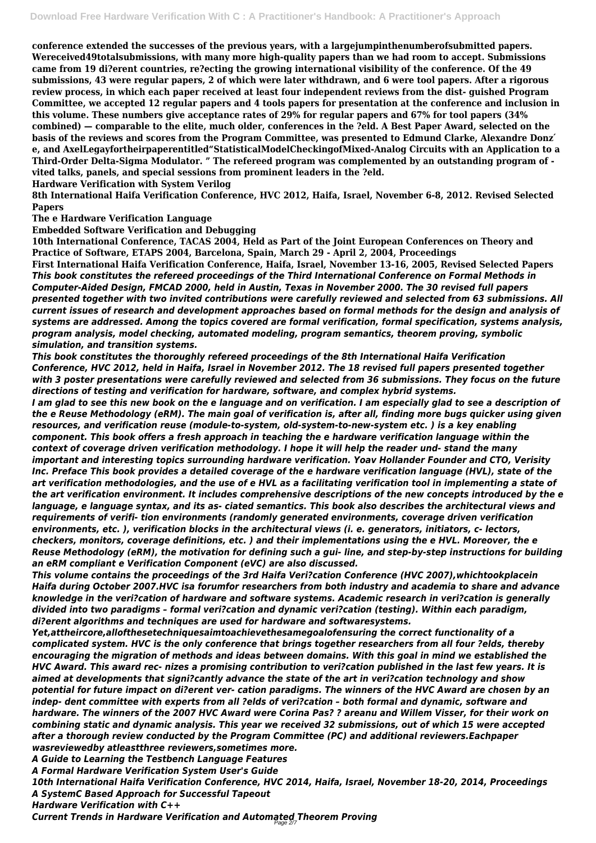**conference extended the successes of the previous years, with a largejumpinthenumberofsubmitted papers. Wereceived49totalsubmissions, with many more high-quality papers than we had room to accept. Submissions came from 19 di?erent countries, re?ecting the growing international visibility of the conference. Of the 49 submissions, 43 were regular papers, 2 of which were later withdrawn, and 6 were tool papers. After a rigorous review process, in which each paper received at least four independent reviews from the dist- guished Program Committee, we accepted 12 regular papers and 4 tools papers for presentation at the conference and inclusion in this volume. These numbers give acceptance rates of 29% for regular papers and 67% for tool papers (34% combined) — comparable to the elite, much older, conferences in the ?eld. A Best Paper Award, selected on the basis of the reviews and scores from the Program Committee, was presented to Edmund Clarke, Alexandre Donz' e, and AxelLegayfortheirpaperentitled"StatisticalModelCheckingofMixed-Analog Circuits with an Application to a Third-Order Delta-Sigma Modulator. " The refereed program was complemented by an outstanding program of vited talks, panels, and special sessions from prominent leaders in the ?eld.**

**Hardware Verification with System Verilog**

**8th International Haifa Verification Conference, HVC 2012, Haifa, Israel, November 6-8, 2012. Revised Selected Papers**

**The e Hardware Verification Language**

**Embedded Software Verification and Debugging**

**10th International Conference, TACAS 2004, Held as Part of the Joint European Conferences on Theory and Practice of Software, ETAPS 2004, Barcelona, Spain, March 29 - April 2, 2004, Proceedings First International Haifa Verification Conference, Haifa, Israel, November 13-16, 2005, Revised Selected Papers** *This book constitutes the refereed proceedings of the Third International Conference on Formal Methods in Computer-Aided Design, FMCAD 2000, held in Austin, Texas in November 2000. The 30 revised full papers presented together with two invited contributions were carefully reviewed and selected from 63 submissions. All current issues of research and development approaches based on formal methods for the design and analysis of systems are addressed. Among the topics covered are formal verification, formal specification, systems analysis, program analysis, model checking, automated modeling, program semantics, theorem proving, symbolic simulation, and transition systems.*

*This book constitutes the thoroughly refereed proceedings of the 8th International Haifa Verification Conference, HVC 2012, held in Haifa, Israel in November 2012. The 18 revised full papers presented together with 3 poster presentations were carefully reviewed and selected from 36 submissions. They focus on the future directions of testing and verification for hardware, software, and complex hybrid systems.*

*I am glad to see this new book on the e language and on verification. I am especially glad to see a description of the e Reuse Methodology (eRM). The main goal of verification is, after all, finding more bugs quicker using given resources, and verification reuse (module-to-system, old-system-to-new-system etc. ) is a key enabling component. This book offers a fresh approach in teaching the e hardware verification language within the context of coverage driven verification methodology. I hope it will help the reader und- stand the many important and interesting topics surrounding hardware verification. Yoav Hollander Founder and CTO, Verisity Inc. Preface This book provides a detailed coverage of the e hardware verification language (HVL), state of the art verification methodologies, and the use of e HVL as a facilitating verification tool in implementing a state of the art verification environment. It includes comprehensive descriptions of the new concepts introduced by the e language, e language syntax, and its as- ciated semantics. This book also describes the architectural views and requirements of verifi- tion environments (randomly generated environments, coverage driven verification environments, etc. ), verification blocks in the architectural views (i. e. generators, initiators, c- lectors, checkers, monitors, coverage definitions, etc. ) and their implementations using the e HVL. Moreover, the e Reuse Methodology (eRM), the motivation for defining such a gui- line, and step-by-step instructions for building an eRM compliant e Verification Component (eVC) are also discussed.*

*This volume contains the proceedings of the 3rd Haifa Veri?cation Conference (HVC 2007),whichtookplacein Haifa during October 2007.HVC isa forumfor researchers from both industry and academia to share and advance knowledge in the veri?cation of hardware and software systems. Academic research in veri?cation is generally divided into two paradigms – formal veri?cation and dynamic veri?cation (testing). Within each paradigm, di?erent algorithms and techniques are used for hardware and softwaresystems.*

*Yet,attheircore,allofthesetechniquesaimtoachievethesamegoalofensuring the correct functionality of a*

*complicated system. HVC is the only conference that brings together researchers from all four ?elds, thereby encouraging the migration of methods and ideas between domains. With this goal in mind we established the HVC Award. This award rec- nizes a promising contribution to veri?cation published in the last few years. It is aimed at developments that signi?cantly advance the state of the art in veri?cation technology and show potential for future impact on di?erent ver- cation paradigms. The winners of the HVC Award are chosen by an indep- dent committee with experts from all ?elds of veri?cation – both formal and dynamic, software and hardware. The winners of the 2007 HVC Award were Corina Pas? ? areanu and Willem Visser, for their work on combining static and dynamic analysis. This year we received 32 submissions, out of which 15 were accepted after a thorough review conducted by the Program Committee (PC) and additional reviewers.Eachpaper wasreviewedby atleastthree reviewers,sometimes more. A Guide to Learning the Testbench Language Features A Formal Hardware Verification System User's Guide 10th International Haifa Verification Conference, HVC 2014, Haifa, Israel, November 18-20, 2014, Proceedings A SystemC Based Approach for Successful Tapeout Hardware Verification with C++ Current Trends in Hardware Verification and Automated Theorem Proving* Page 2/7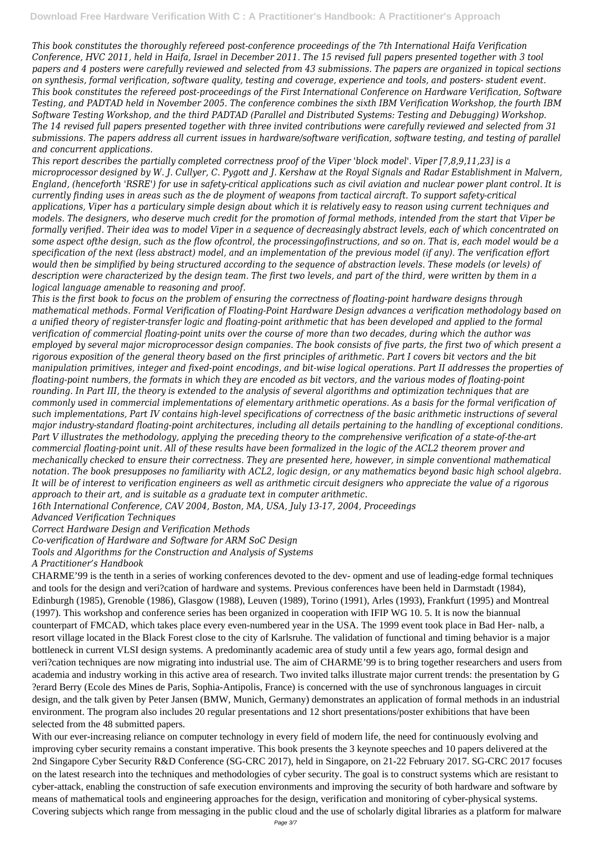*This book constitutes the thoroughly refereed post-conference proceedings of the 7th International Haifa Verification Conference, HVC 2011, held in Haifa, Israel in December 2011. The 15 revised full papers presented together with 3 tool papers and 4 posters were carefully reviewed and selected from 43 submissions. The papers are organized in topical sections on synthesis, formal verification, software quality, testing and coverage, experience and tools, and posters- student event. This book constitutes the refereed post-proceedings of the First International Conference on Hardware Verification, Software Testing, and PADTAD held in November 2005. The conference combines the sixth IBM Verification Workshop, the fourth IBM Software Testing Workshop, and the third PADTAD (Parallel and Distributed Systems: Testing and Debugging) Workshop. The 14 revised full papers presented together with three invited contributions were carefully reviewed and selected from 31 submissions. The papers address all current issues in hardware/software verification, software testing, and testing of parallel and concurrent applications.*

*This report describes the partially completed correctness proof of the Viper 'block model'. Viper [7,8,9,11,23] is a microprocessor designed by W. J. Cullyer, C. Pygott and J. Kershaw at the Royal Signals and Radar Establishment in Malvern, England, (henceforth 'RSRE') for use in safety-critical applications such as civil aviation and nuclear power plant control. It is currently finding uses in areas such as the de ployment of weapons from tactical aircraft. To support safety-critical applications, Viper has a particulary simple design about which it is relatively easy to reason using current techniques and models. The designers, who deserve much credit for the promotion of formal methods, intended from the start that Viper be formally verified. Their idea was to model Viper in a sequence of decreasingly abstract levels, each of which concentrated on some aspect ofthe design, such as the flow ofcontrol, the processingofinstructions, and so on. That is, each model would be a specification of the next (less abstract) model, and an implementation of the previous model (if any). The verification effort would then be simplified by being structured according to the sequence of abstraction levels. These models (or levels) of description were characterized by the design team. The first two levels, and part of the third, were written by them in a logical language amenable to reasoning and proof.*

*This is the first book to focus on the problem of ensuring the correctness of floating-point hardware designs through mathematical methods. Formal Verification of Floating-Point Hardware Design advances a verification methodology based on a unified theory of register-transfer logic and floating-point arithmetic that has been developed and applied to the formal verification of commercial floating-point units over the course of more than two decades, during which the author was employed by several major microprocessor design companies. The book consists of five parts, the first two of which present a rigorous exposition of the general theory based on the first principles of arithmetic. Part I covers bit vectors and the bit manipulation primitives, integer and fixed-point encodings, and bit-wise logical operations. Part II addresses the properties of floating-point numbers, the formats in which they are encoded as bit vectors, and the various modes of floating-point rounding. In Part III, the theory is extended to the analysis of several algorithms and optimization techniques that are commonly used in commercial implementations of elementary arithmetic operations. As a basis for the formal verification of such implementations, Part IV contains high-level specifications of correctness of the basic arithmetic instructions of several major industry-standard floating-point architectures, including all details pertaining to the handling of exceptional conditions. Part V illustrates the methodology, applying the preceding theory to the comprehensive verification of a state-of-the-art commercial floating-point unit. All of these results have been formalized in the logic of the ACL2 theorem prover and mechanically checked to ensure their correctness. They are presented here, however, in simple conventional mathematical notation. The book presupposes no familiarity with ACL2, logic design, or any mathematics beyond basic high school algebra. It will be of interest to verification engineers as well as arithmetic circuit designers who appreciate the value of a rigorous approach to their art, and is suitable as a graduate text in computer arithmetic.*

*16th International Conference, CAV 2004, Boston, MA, USA, July 13-17, 2004, Proceedings*

*Advanced Verification Techniques*

*Correct Hardware Design and Verification Methods*

*Co-verification of Hardware and Software for ARM SoC Design*

*Tools and Algorithms for the Construction and Analysis of Systems*

*A Practitioner's Handbook*

CHARME'99 is the tenth in a series of working conferences devoted to the dev- opment and use of leading-edge formal techniques and tools for the design and veri?cation of hardware and systems. Previous conferences have been held in Darmstadt (1984), Edinburgh (1985), Grenoble (1986), Glasgow (1988), Leuven (1989), Torino (1991), Arles (1993), Frankfurt (1995) and Montreal (1997). This workshop and conference series has been organized in cooperation with IFIP WG 10. 5. It is now the biannual counterpart of FMCAD, which takes place every even-numbered year in the USA. The 1999 event took place in Bad Her- nalb, a resort village located in the Black Forest close to the city of Karlsruhe. The validation of functional and timing behavior is a major bottleneck in current VLSI design systems. A predominantly academic area of study until a few years ago, formal design and veri?cation techniques are now migrating into industrial use. The aim of CHARME'99 is to bring together researchers and users from academia and industry working in this active area of research. Two invited talks illustrate major current trends: the presentation by G ?erard Berry (Ecole des Mines de Paris, Sophia-Antipolis, France) is concerned with the use of synchronous languages in circuit design, and the talk given by Peter Jansen (BMW, Munich, Germany) demonstrates an application of formal methods in an industrial environment. The program also includes 20 regular presentations and 12 short presentations/poster exhibitions that have been selected from the 48 submitted papers. With our ever-increasing reliance on computer technology in every field of modern life, the need for continuously evolving and improving cyber security remains a constant imperative. This book presents the 3 keynote speeches and 10 papers delivered at the 2nd Singapore Cyber Security R&D Conference (SG-CRC 2017), held in Singapore, on 21-22 February 2017. SG-CRC 2017 focuses on the latest research into the techniques and methodologies of cyber security. The goal is to construct systems which are resistant to cyber-attack, enabling the construction of safe execution environments and improving the security of both hardware and software by means of mathematical tools and engineering approaches for the design, verification and monitoring of cyber-physical systems. Covering subjects which range from messaging in the public cloud and the use of scholarly digital libraries as a platform for malware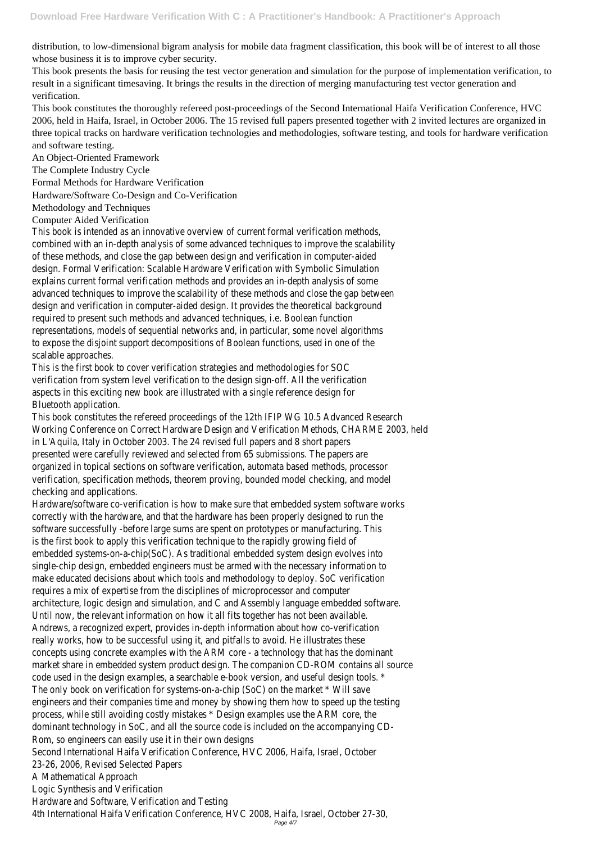distribution, to low-dimensional bigram analysis for mobile data fragment classification, this book will be of interest to all those whose business it is to improve cyber security.

This book presents the basis for reusing the test vector generation and simulation for the purpose of implementation verification, to result in a significant timesaving. It brings the results in the direction of merging manufacturing test vector generation and verification.

This book constitutes the thoroughly refereed post-proceedings of the Second International Haifa Verification Conference, HVC 2006, held in Haifa, Israel, in October 2006. The 15 revised full papers presented together with 2 invited lectures are organized in three topical tracks on hardware verification technologies and methodologies, software testing, and tools for hardware verification and software testing.

An Object-Oriented Framework

The Complete Industry Cycle

Formal Methods for Hardware Verification

Hardware/Software Co-Design and Co-Verification

Methodology and Techniques

Computer Aided Verification

This book is intended as an innovative overview of current formal verification combined with an in-depth analysis of some advanced techniques to improve the scalability of these methods, and close the gap between design and verification in com design. Formal Verification: Scalable Hardware Verification with Symbolic explains current formal verification methods and provides an in-depth analyst advanced techniques to improve the scalability of these methods and close the design and verification in computer-aided design. It provides the theoretical background required to present such methods and advanced techniques, i.e. Boolea representations, models of sequential networks and, in particular, some novel to expose the disjoint support decompositions of Boolean functions, used in scalable approache

This is the first book to cover verification strategies and methodologies verification from system level verification to the design sign-off. All the aspects in this exciting new book are illustrated with a single reference Bluetooth application.

This book constitutes the refereed proceedings of the 12th IFIP WG 10.5 Advanced Research Working Conference on Correct Hardware Design and Verification Methods, CHARN in L'Aquila, Italy in October 2003. The 24 revised full papers and 8 short papers presented were carefully reviewed and selected from 65 submissions. The organized in topical sections on software verification, automata based method verification, specification methods, theorem proving, bounded model checking, checking and application

Hardware/software co-verification is how to make sure that embedded system so correctly with the hardware, and that the hardware has been properly designed to run the hardware, and the the software successfully -before large sums are spent on prototypes or manufa is the first book to apply this verification technique to the rapidly gro embedded systems-on-a-chip(SoC). As traditional embedded system design e single-chip design, embedded engineers must be armed with the necessary information of make educated decisions about which tools and methodology to deploy. So C requires a mix of expertise from the disciplines of microprocessor and architecture, logic design and simulation, and C and Assembly language embedded Until now, the relevant information on how it all fits together has not be Andrews, a recognized expert, provides in-depth information about how coreally works, how to be successful using it, and pitfalls to avoid. He illust concepts using concrete examples with the ARM core - a technology that has market share in embedded system product design. The companion CD-ROM contain code used in the design examples, a searchable e-book version, and useful des The only book on verification for systems-on-a-chip (SoC) on the market engineers and their companies time and money by showing them how to speed up the testing testing the testing testing the testing testing testing and the testing testing testing testing testing testing testing testing testi process, while still avoiding costly mistakes \* Design examples use the ARI dominant technology in SoC, and all the source code is included on the accompanying CD-Rom, so engineers can easily use it in their own Second International Haifa Verification Conference, HVC 2006, Haifa, Isra 23-26, 2006, Revised Selected Papers A Mathematical Approa Logic Synthesis and Verifica Hardware and Software, Verification and 4th International Haifa Verification Conference, HVC 2008, Haifa, Israel, October 2008, Haifa, Israel, October Page 4/7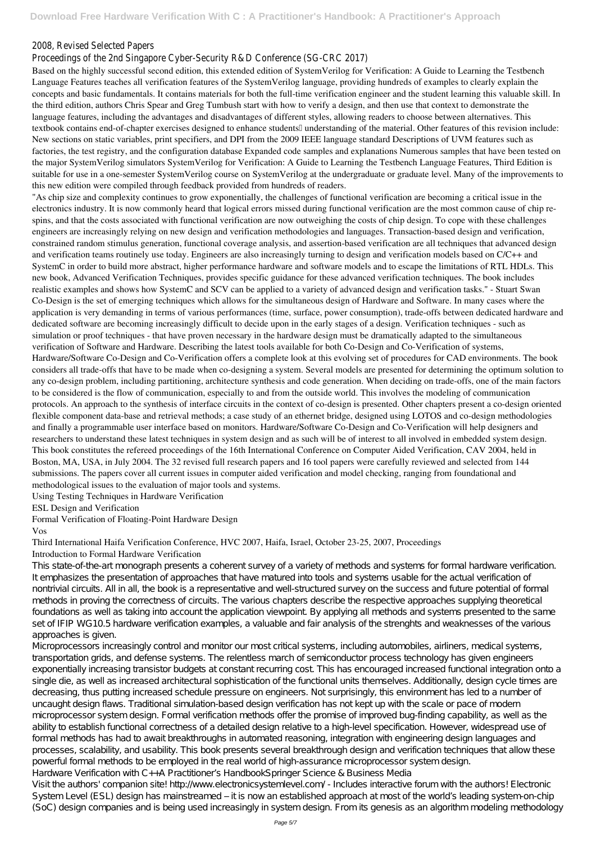# 2008, Revised Selected Pap

## Proceedings of the 2nd Singapore Cyber-Security R&D Conference (SC

Based on the highly successful second edition, this extended edition of SystemVerilog for Verification: A Guide to Learning the Testbench Language Features teaches all verification features of the SystemVerilog language, providing hundreds of examples to clearly explain the concepts and basic fundamentals. It contains materials for both the full-time verification engineer and the student learning this valuable skill. In the third edition, authors Chris Spear and Greg Tumbush start with how to verify a design, and then use that context to demonstrate the language features, including the advantages and disadvantages of different styles, allowing readers to choose between alternatives. This textbook contains end-of-chapter exercises designed to enhance students<sup>[]</sup> understanding of the material. Other features of this revision include: New sections on static variables, print specifiers, and DPI from the 2009 IEEE language standard Descriptions of UVM features such as factories, the test registry, and the configuration database Expanded code samples and explanations Numerous samples that have been tested on the major SystemVerilog simulators SystemVerilog for Verification: A Guide to Learning the Testbench Language Features, Third Edition is suitable for use in a one-semester SystemVerilog course on SystemVerilog at the undergraduate or graduate level. Many of the improvements to this new edition were compiled through feedback provided from hundreds of readers.

"As chip size and complexity continues to grow exponentially, the challenges of functional verification are becoming a critical issue in the electronics industry. It is now commonly heard that logical errors missed during functional verification are the most common cause of chip respins, and that the costs associated with functional verification are now outweighing the costs of chip design. To cope with these challenges engineers are increasingly relying on new design and verification methodologies and languages. Transaction-based design and verification, constrained random stimulus generation, functional coverage analysis, and assertion-based verification are all techniques that advanced design and verification teams routinely use today. Engineers are also increasingly turning to design and verification models based on C/C++ and SystemC in order to build more abstract, higher performance hardware and software models and to escape the limitations of RTL HDLs. This new book, Advanced Verification Techniques, provides specific guidance for these advanced verification techniques. The book includes realistic examples and shows how SystemC and SCV can be applied to a variety of advanced design and verification tasks." - Stuart Swan Co-Design is the set of emerging techniques which allows for the simultaneous design of Hardware and Software. In many cases where the application is very demanding in terms of various performances (time, surface, power consumption), trade-offs between dedicated hardware and dedicated software are becoming increasingly difficult to decide upon in the early stages of a design. Verification techniques - such as simulation or proof techniques - that have proven necessary in the hardware design must be dramatically adapted to the simultaneous verification of Software and Hardware. Describing the latest tools available for both Co-Design and Co-Verification of systems, Hardware/Software Co-Design and Co-Verification offers a complete look at this evolving set of procedures for CAD environments. The book considers all trade-offs that have to be made when co-designing a system. Several models are presented for determining the optimum solution to any co-design problem, including partitioning, architecture synthesis and code generation. When deciding on trade-offs, one of the main factors to be considered is the flow of communication, especially to and from the outside world. This involves the modeling of communication protocols. An approach to the synthesis of interface circuits in the context of co-design is presented. Other chapters present a co-design oriented flexible component data-base and retrieval methods; a case study of an ethernet bridge, designed using LOTOS and co-design methodologies and finally a programmable user interface based on monitors. Hardware/Software Co-Design and Co-Verification will help designers and researchers to understand these latest techniques in system design and as such will be of interest to all involved in embedded system design. This book constitutes the refereed proceedings of the 16th International Conference on Computer Aided Verification, CAV 2004, held in Boston, MA, USA, in July 2004. The 32 revised full research papers and 16 tool papers were carefully reviewed and selected from 144 submissions. The papers cover all current issues in computer aided verification and model checking, ranging from foundational and methodological issues to the evaluation of major tools and systems.

Using Testing Techniques in Hardware Verification

ESL Design and Verification

Formal Verification of Floating-Point Hardware Design

#### Vos

### Third International Haifa Verification Conference, HVC 2007, Haifa, Israel, October 23-25, 2007, Proceedings Introduction to Formal Hardware Verification

This state-of-the-art monograph presents a coherent survey of a variety of methods and systems for formal hardware verification. It emphasizes the presentation of approaches that have matured into tools and systems usable for the actual verification of nontrivial circuits. All in all, the book is a representative and well-structured survey on the success and future potential of formal methods in proving the correctness of circuits. The various chapters describe the respective approaches supplying theoretical foundations as well as taking into account the application viewpoint. By applying all methods and systems presented to the same set of IFIP WG10.5 hardware verification examples, a valuable and fair analysis of the strenghts and weaknesses of the various approaches is given.

Microprocessors increasingly control and monitor our most critical systems, including automobiles, airliners, medical systems, transportation grids, and defense systems. The relentless march of semiconductor process technology has given engineers exponentially increasing transistor budgets at constant recurring cost. This has encouraged increased functional integration onto a single die, as well as increased architectural sophistication of the functional units themselves. Additionally, design cycle times are decreasing, thus putting increased schedule pressure on engineers. Not surprisingly, this environment has led to a number of uncaught design flaws. Traditional simulation-based design verification has not kept up with the scale or pace of modern microprocessor system design. Formal verification methods offer the promise of improved bug-finding capability, as well as the ability to establish functional correctness of a detailed design relative to a high-level specification. However, widespread use of formal methods has had to await breakthroughs in automated reasoning, integration with engineering design languages and processes, scalability, and usability. This book presents several breakthrough design and verification techniques that allow these powerful formal methods to be employed in the real world of high-assurance microprocessor system design. Hardware Verification with C++A Practitioner's HandbookSpringer Science & Business Media Visit the authors' companion site! http://www.electronicsystemlevel.com/ - Includes interactive forum with the authors! Electronic System Level (ESL) design has mainstreamed – it is now an established approach at most of the world's leading system-on-chip (SoC) design companies and is being used increasingly in system design. From its genesis as an algorithm modeling methodology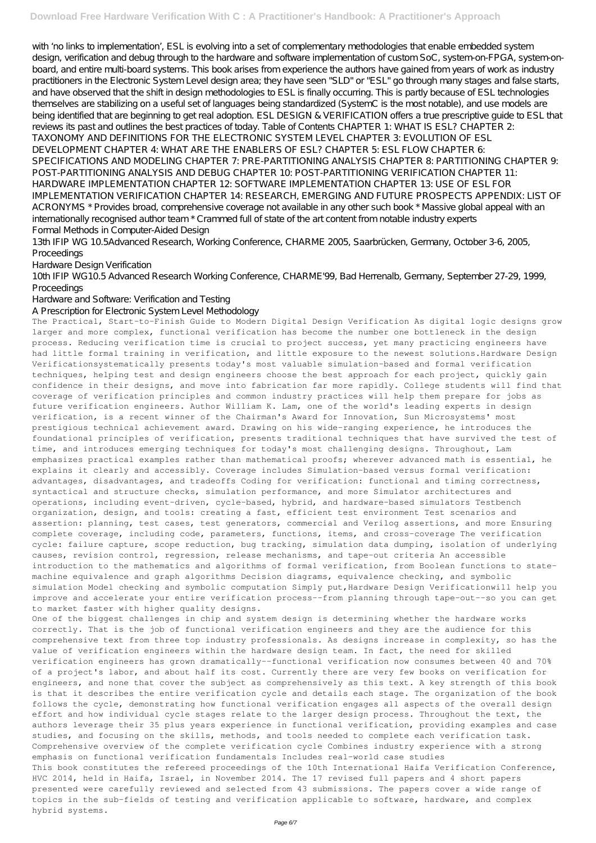with 'no links to implementation', ESL is evolving into a set of complementary methodologies that enable embedded system design, verification and debug through to the hardware and software implementation of custom SoC, system-on-FPGA, system-onboard, and entire multi-board systems. This book arises from experience the authors have gained from years of work as industry practitioners in the Electronic System Level design area; they have seen "SLD" or "ESL" go through many stages and false starts, and have observed that the shift in design methodologies to ESL is finally occurring. This is partly because of ESL technologies themselves are stabilizing on a useful set of languages being standardized (SystemC is the most notable), and use models are being identified that are beginning to get real adoption. ESL DESIGN & VERIFICATION offers a true prescriptive guide to ESL that reviews its past and outlines the best practices of today. Table of Contents CHAPTER 1: WHAT IS ESL? CHAPTER 2: TAXONOMY AND DEFINITIONS FOR THE ELECTRONIC SYSTEM LEVEL CHAPTER 3: EVOLUTION OF ESL DEVELOPMENT CHAPTER 4: WHAT ARE THE ENABLERS OF ESL? CHAPTER 5: ESL FLOW CHAPTER 6: SPECIFICATIONS AND MODELING CHAPTER 7: PRE-PARTITIONING ANALYSIS CHAPTER 8: PARTITIONING CHAPTER 9: POST-PARTITIONING ANALYSIS AND DEBUG CHAPTER 10: POST-PARTITIONING VERIFICATION CHAPTER 11: HARDWARE IMPLEMENTATION CHAPTER 12: SOFTWARE IMPLEMENTATION CHAPTER 13: USE OF ESL FOR IMPLEMENTATION VERIFICATION CHAPTER 14: RESEARCH, EMERGING AND FUTURE PROSPECTS APPENDIX: LIST OF ACRONYMS \* Provides broad, comprehensive coverage not available in any other such book \* Massive global appeal with an internationally recognised author team \* Crammed full of state of the art content from notable industry experts Formal Methods in Computer-Aided Design

13th IFIP WG 10.5Advanced Research, Working Conference, CHARME 2005, Saarbrücken, Germany, October 3-6, 2005, Proceedings

Hardware Design Verification

10th IFIP WG10.5 Advanced Research Working Conference, CHARME'99, Bad Herrenalb, Germany, September 27-29, 1999, Proceedings

Hardware and Software: Verification and Testing

A Prescription for Electronic System Level Methodology

The Practical, Start-to-Finish Guide to Modern Digital Design Verification As digital logic designs grow larger and more complex, functional verification has become the number one bottleneck in the design process. Reducing verification time is crucial to project success, yet many practicing engineers have had little formal training in verification, and little exposure to the newest solutions.Hardware Design Verificationsystematically presents today's most valuable simulation-based and formal verification techniques, helping test and design engineers choose the best approach for each project, quickly gain confidence in their designs, and move into fabrication far more rapidly. College students will find that coverage of verification principles and common industry practices will help them prepare for jobs as future verification engineers. Author William K. Lam, one of the world's leading experts in design verification, is a recent winner of the Chairman's Award for Innovation, Sun Microsystems' most prestigious technical achievement award. Drawing on his wide-ranging experience, he introduces the foundational principles of verification, presents traditional techniques that have survived the test of time, and introduces emerging techniques for today's most challenging designs. Throughout, Lam emphasizes practical examples rather than mathematical proofs; wherever advanced math is essential, he explains it clearly and accessibly. Coverage includes Simulation-based versus formal verification: advantages, disadvantages, and tradeoffs Coding for verification: functional and timing correctness, syntactical and structure checks, simulation performance, and more Simulator architectures and operations, including event-driven, cycle-based, hybrid, and hardware-based simulators Testbench organization, design, and tools: creating a fast, efficient test environment Test scenarios and assertion: planning, test cases, test generators, commercial and Verilog assertions, and more Ensuring complete coverage, including code, parameters, functions, items, and cross-coverage The verification cycle: failure capture, scope reduction, bug tracking, simulation data dumping, isolation of underlying causes, revision control, regression, release mechanisms, and tape-out criteria An accessible introduction to the mathematics and algorithms of formal verification, from Boolean functions to statemachine equivalence and graph algorithms Decision diagrams, equivalence checking, and symbolic simulation Model checking and symbolic computation Simply put,Hardware Design Verificationwill help you improve and accelerate your entire verification process--from planning through tape-out--so you can get to market faster with higher quality designs.

One of the biggest challenges in chip and system design is determining whether the hardware works correctly. That is the job of functional verification engineers and they are the audience for this

comprehensive text from three top industry professionals. As designs increase in complexity, so has the value of verification engineers within the hardware design team. In fact, the need for skilled verification engineers has grown dramatically--functional verification now consumes between 40 and 70% of a project's labor, and about half its cost. Currently there are very few books on verification for engineers, and none that cover the subject as comprehensively as this text. A key strength of this book is that it describes the entire verification cycle and details each stage. The organization of the book follows the cycle, demonstrating how functional verification engages all aspects of the overall design effort and how individual cycle stages relate to the larger design process. Throughout the text, the authors leverage their 35 plus years experience in functional verification, providing examples and case studies, and focusing on the skills, methods, and tools needed to complete each verification task. Comprehensive overview of the complete verification cycle Combines industry experience with a strong emphasis on functional verification fundamentals Includes real-world case studies This book constitutes the refereed proceedings of the 10th International Haifa Verification Conference, HVC 2014, held in Haifa, Israel, in November 2014. The 17 revised full papers and 4 short papers presented were carefully reviewed and selected from 43 submissions. The papers cover a wide range of topics in the sub-fields of testing and verification applicable to software, hardware, and complex hybrid systems.